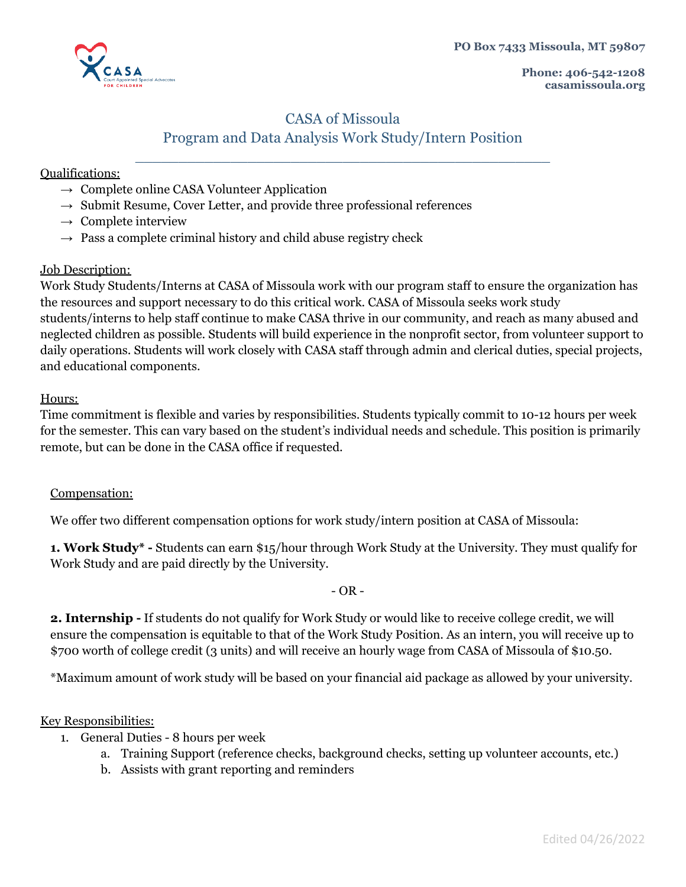**PO Box 7433 Missoula, MT 59807**



**Phone: 406-542-1208 casamissoula.org**

# CASA of Missoula Program and Data Analysis Work Study/Intern Position

\_\_\_\_\_\_\_\_\_\_\_\_\_\_\_\_\_\_\_\_\_\_\_\_\_\_\_\_\_\_\_\_\_\_\_\_\_\_\_\_\_\_\_\_\_\_\_\_

## Qualifications:

- $\rightarrow$  Complete online CASA Volunteer Application
- $\rightarrow$  Submit Resume, Cover Letter, and provide three professional references
- $\rightarrow$  Complete interview
- $\rightarrow$  Pass a complete criminal history and child abuse registry check

## Job Description:

Work Study Students/Interns at CASA of Missoula work with our program staff to ensure the organization has the resources and support necessary to do this critical work. CASA of Missoula seeks work study students/interns to help staff continue to make CASA thrive in our community, and reach as many abused and neglected children as possible. Students will build experience in the nonprofit sector, from volunteer support to daily operations. Students will work closely with CASA staff through admin and clerical duties, special projects, and educational components.

### Hours:

Time commitment is flexible and varies by responsibilities. Students typically commit to 10-12 hours per week for the semester. This can vary based on the student's individual needs and schedule. This position is primarily remote, but can be done in the CASA office if requested.

## Compensation:

We offer two different compensation options for work study/intern position at CASA of Missoula:

**1. Work Study\* -** Students can earn \$15/hour through Work Study at the University. They must qualify for Work Study and are paid directly by the University.

#### $- OR -$

**2. Internship -** If students do not qualify for Work Study or would like to receive college credit, we will ensure the compensation is equitable to that of the Work Study Position. As an intern, you will receive up to \$700 worth of college credit (3 units) and will receive an hourly wage from CASA of Missoula of \$10.50.

\*Maximum amount of work study will be based on your financial aid package as allowed by your university.

## Key Responsibilities:

- 1. General Duties 8 hours per week
	- a. Training Support (reference checks, background checks, setting up volunteer accounts, etc.)
	- b. Assists with grant reporting and reminders